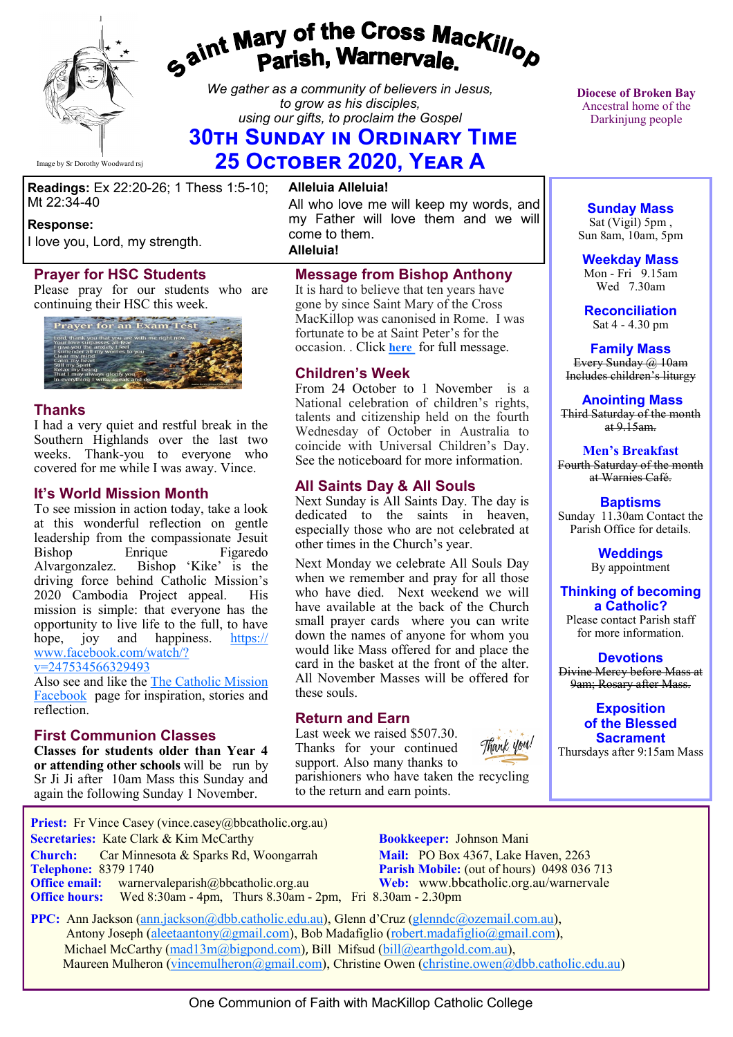

# gaint Mary of the Cross Mackillop<br>Parish, Warnervale.

*We gather as a community of believers in Jesus, to grow as his disciples, using our gifts, to proclaim the Gospel*

# **30th Sunday in Ordinary Time 25 October 2020, Year A**

**Readings:** Ex 22:20-26; 1 Thess 1:5-10; Mt 22:34-40

#### **Response:**

I love you, Lord, my strength.

#### **Prayer for HSC Students**

Please pray for our students who are continuing their HSC this week.



#### **Thanks**

I had a very quiet and restful break in the Southern Highlands over the last two weeks. Thank-you to everyone who covered for me while I was away. Vince.

#### **It's World Mission Month**

To see mission in action today, take a look at this wonderful reflection on gentle leadership from the compassionate Jesuit Bishop Enrique Figaredo<br>Alvargonzalez. Bishop 'Kike' is the Bishop 'Kike' is the driving force behind Catholic Mission's 2020 Cambodia Project appeal. His mission is simple: that everyone has the opportunity to live life to the full, to have hope, joy and happiness. [https://](https://www.facebook.com/watch/?v=247534566329493) [www.facebook.com/watch/?](https://www.facebook.com/watch/?v=247534566329493) [v=247534566329493](https://www.facebook.com/watch/?v=247534566329493)

Also see and like the [The Catholic Mission](https://www.facebook.com/catholicmission/)  [Facebook](https://www.facebook.com/catholicmission/) page for inspiration, stories and reflection.

#### **First Communion Classes**

**Classes for students older than Year 4 or attending other schools** will be run by Sr Ji Ji after 10am Mass this Sunday and again the following Sunday 1 November.

**Alleluia Alleluia!**

All who love me will keep my words, and my Father will love them and we will come to them.

**Alleluia!**

#### **Message from Bishop Anthony**

It is hard to believe that ten years have gone by since Saint Mary of the Cross MacKillop was canonised in Rome. I was fortunate to be at Saint Peter's for the occasion. . Click **[here](https://bbcatholic.us8.list-manage.com/track/click?u=466af249e088db70ab864d088&id=3f02d559a6&e=e312df0f80)** for full message.

#### **Children's Week**

From 24 October to 1 November is a National celebration of children's rights, talents and citizenship held on the fourth Wednesday of October in Australia to coincide with Universal Children's Day. See the noticeboard for more information.

#### **All Saints Day & All Souls**

Next Sunday is All Saints Day. The day is dedicated to the saints in heaven, especially those who are not celebrated at other times in the Church's year.

Next Monday we celebrate All Souls Day when we remember and pray for all those who have died. Next weekend we will have available at the back of the Church small prayer cards where you can write down the names of anyone for whom you would like Mass offered for and place the card in the basket at the front of the alter. All November Masses will be offered for these souls.

#### **Return and Earn**

Last week we raised \$507.30. Thanks for your continued support. Also many thanks to parishioners who have taken the recycling to the return and earn points.



**Diocese of Broken Bay**  Ancestral home of the Darkinjung people

**Sunday Mass** Sat (Vigil) 5pm , Sun 8am, 10am, 5pm

**Weekday Mass** Mon - Fri 9.15am Wed 7.30am

**Reconciliation** Sat 4 - 4.30 pm

**Family Mass**  Every Sunday @ 10am Includes children's liturgy

**Anointing Mass** Third Saturday of the month at  $9.15$ am.

**Men's Breakfast** Fourth Saturday of the month at Warnies Café.

**Baptisms** Sunday 11.30am Contact the Parish Office for details.

> **Weddings**  By appointment

**Thinking of becoming a Catholic?** Please contact Parish staff

for more information. **Devotions**

Divine Mercy before Mass at 9am; Rosary after Mass.

#### **Exposition of the Blessed Sacrament**

Thursdays after 9:15am Mass

**Priest:** Fr Vince Casey (vince.casey@bbcatholic.org.au)  **Secretaries:** Kate Clark & Kim McCarthy **Bookkeeper:** Johnson Mani

**Office email:** warnervaleparish@bbcatholic.org.au **Web:** [www.bbcatholic.org.au/warnervale](https://www.bbcatholic.org.au/warnervale)

**Office hours:** Wed 8:30am - 4pm, Thurs 8.30am - 2pm, Fri 8.30am - 2.30pm

**Church:** Car Minnesota & Sparks Rd, Woongarrah **Mail:** PO Box 4367, Lake Haven, 2263<br> **Telephone:** 8379 1740 **Parish Mobile:** (out of hours) 0498 036 **Parish Mobile:** (out of hours) 0498 036 713

 **PPC:** Ann Jackson ([ann.jackson@dbb.catholic.edu.au\),](mailto:ann.jackson@dbb.catholic.edu.au) Glenn d'Cruz ([glenndc@ozemail.com.au\)](mailto:glenndc@ozemail.com.au), Antony Joseph ([aleetaantony@gmail.com\),](mailto:aleetaantony@gmail.com) Bob Madafiglio [\(robert.madafiglio@gmail.com\),](mailto:robert.madafiglio@gmail.com) Michael McCarthy ([mad13m@bigpond.com\)](mailto:mad13m@bigpond.com), Bill Mifsud ([bill@earthgold.com.au\),](mailto:bill@earthgold.com.au) Maureen Mulheron ([vincemulheron@gmail.com\)](mailto:vincemulheron@gmail.com), Christine Owen (christine.owen[@dbb.catholic.edu.au\)](mailto:ann.jackson@dbb.catholic.edu.au)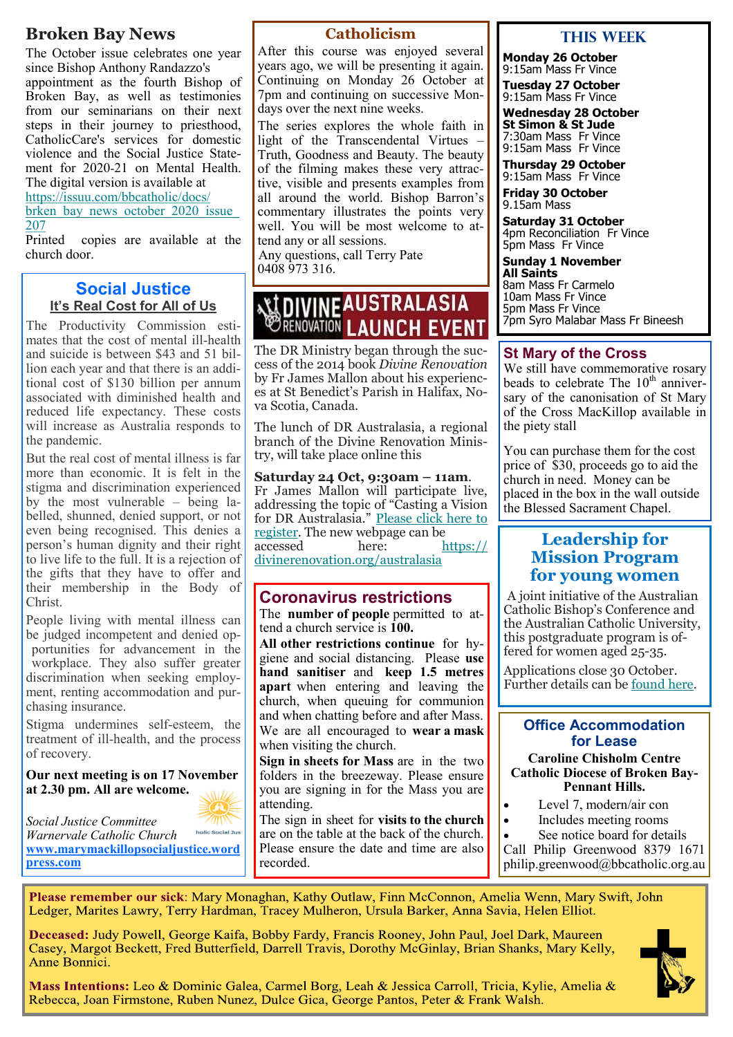## **Broken Bay News**

The October issue celebrates one year since Bishop Anthony Randazzo's appointment as the fourth Bishop of Broken Bay, as well as testimonies from our seminarians on their next steps in their journey to priesthood, CatholicCare's services for domestic violence and the Social Justice Statement for 2020-21 on Mental Health. The digital version is available at

[https://issuu.com/bbcatholic/docs/](https://bbcatholic.us8.list-manage.com/track/click?u=466af249e088db70ab864d088&id=908cf576b3&e=e312df0f80)

brken bay news october 2020 issue [207](https://bbcatholic.us8.list-manage.com/track/click?u=466af249e088db70ab864d088&id=908cf576b3&e=e312df0f80)

Printed copies are available at the church door.

#### **Social Justice It's Real Cost for All of Us**

The Productivity Commission estimates that the cost of mental ill-health and suicide is between \$43 and 51 billion each year and that there is an additional cost of \$130 billion per annum associated with diminished health and reduced life expectancy. These costs will increase as Australia responds to the pandemic.

But the real cost of mental illness is far more than economic. It is felt in the stigma and discrimination experienced by the most vulnerable – being labelled, shunned, denied support, or not even being recognised. This denies a person's human dignity and their right to live life to the full. It is a rejection of the gifts that they have to offer and their membership in the Body of Christ.

People living with mental illness can be judged incompetent and denied opportunities for advancement in the workplace. They also suffer greater

discrimination when seeking employment, renting accommodation and purchasing insurance.

Stigma undermines self-esteem, the treatment of ill-health, and the process of recovery.

**Our next meeting is on 17 November at 2.30 pm. All are welcome.**

*Social Justice Committee*  holic Social Just *Warnervale Catholic Church* **[www.marymackillopsocialjustice.word](http://www.marymackillopsocialjustice.wordpress.com) [press.com](http://www.marymackillopsocialjustice.wordpress.com)**

#### **Catholicism**

After this course was enjoyed several years ago, we will be presenting it again. Continuing on Monday 26 October at 7pm and continuing on successive Mondays over the next nine weeks.

The series explores the whole faith in light of the Transcendental Virtues – Truth, Goodness and Beauty. The beauty of the filming makes these very attractive, visible and presents examples from all around the world. Bishop Barron's commentary illustrates the points very well. You will be most welcome to attend any or all sessions.

Any questions, call Terry Pate 0408 973 316.

# **DIVINEAUSTRALASIA** *BRENOVATION* LAUNCH EVENT

The DR Ministry began through the success of the 2014 book *Divine Renovation* by Fr James Mallon about his experiences at St Benedict's Parish in Halifax, Nova Scotia, Canada.

The lunch of DR Australasia, a regional branch of the Divine Renovation Ministry, will take place online this

**Saturday 24 Oct, 9:30am – 11am**. Fr James Mallon will participate live, addressing the topic of "Casting a Vision for DR Australasia." [Please click here to](https://bbcatholic.us8.list-manage.com/track/click?u=466af249e088db70ab864d088&id=e2bb102352&e=e312df0f80)  [register.](https://bbcatholic.us8.list-manage.com/track/click?u=466af249e088db70ab864d088&id=e2bb102352&e=e312df0f80) The new webpage can be<br>accessed here: https:// accessed [divinerenovation.org/australasia](https://bbcatholic.us8.list-manage.com/track/click?u=466af249e088db70ab864d088&id=9e15ee5761&e=e312df0f80)

## **Coronavirus restrictions**

The **number of people** permitted to attend a church service is **100.** 

**All other restrictions continue** for hygiene and social distancing. Please **use hand sanitiser** and **keep 1.5 metres apart** when entering and leaving the church, when queuing for communion and when chatting before and after Mass. We are all encouraged to **wear a mask**  when visiting the church.

**Sign in sheets for Mass** are in the two folders in the breezeway. Please ensure you are signing in for the Mass you are attending.

The sign in sheet for **visits to the church**  are on the table at the back of the church. Please ensure the date and time are also recorded.

#### **This WeeK**

**Monday 26 October** 9:15am Mass Fr Vince

**Tuesday 27 October** 9:15am Mass Fr Vince

**Wednesday 28 October St Simon & St Jude** 7:30am Mass Fr Vince 9:15am Mass Fr Vince

**Thursday 29 October** 9:15am Mass Fr Vince

**Friday 30 October** 9.15am Mass

**Saturday 31 October** 4pm Reconciliation Fr Vince 5pm Mass Fr Vince

**Sunday 1 November All Saints** 8am Mass Fr Carmelo 10am Mass Fr Vince 5pm Mass Fr Vince 7pm Syro Malabar Mass Fr Bineesh

#### **St Mary of the Cross**

We still have commemorative rosary beads to celebrate The  $10<sup>th</sup>$  anniversary of the canonisation of St Mary of the Cross MacKillop available in the piety stall

You can purchase them for the cost price of \$30, proceeds go to aid the church in need. Money can be placed in the box in the wall outside the Blessed Sacrament Chapel.

#### **Leadership for Mission Program for young women**

A joint initiative of the Australian Catholic Bishop's Conference and the Australian Catholic University, this postgraduate program is offered for women aged 25-35.

Applications close 30 October. Further details can be [found here.](https://bbcatholic.us8.list-manage.com/track/click?u=466af249e088db70ab864d088&id=e30b1d27a6&e=e312df0f80) 

#### **Office Accommodation for Lease**

**Caroline Chisholm Centre Catholic Diocese of Broken Bay-Pennant Hills.**

- Level 7, modern/air con
- . Includes meeting rooms
- See notice board for details

Call Philip Greenwood 8379 1671 philip.greenwood@bbcatholic.org.au

Please remember our sick: Mary Monaghan, Kathy Outlaw, Finn McConnon, Amelia Wenn, Mary Swift, John Ledger, Marites Lawry, Terry Hardman, Tracey Mulheron, Ursula Barker, Anna Savia, Helen Elliot.

Deceased: Judy Powell, George Kaifa, Bobby Fardy, Francis Rooney, John Paul, Joel Dark, Maureen Casey, Margot Beckett, Fred Butterfield, Darrell Travis, Dorothy McGinlay, Brian Shanks, Mary Kelly, Anne Bonnici.



Mass Intentions: Leo & Dominic Galea, Carmel Borg, Leah & Jessica Carroll, Tricia, Kylie, Amelia & Rebecca, Joan Firmstone, Ruben Nunez, Dulce Gica, George Pantos, Peter & Frank Walsh.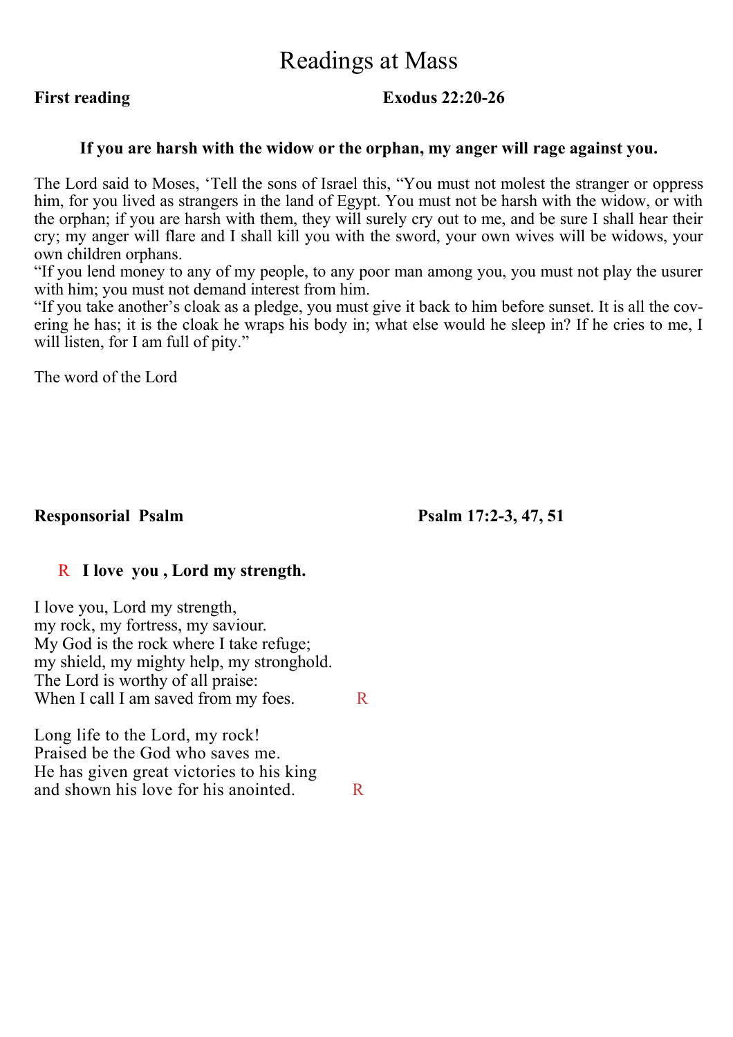# Readings at Mass

#### **First reading Exodus 22:20-26**

## **If you are harsh with the widow or the orphan, my anger will rage against you.**

The Lord said to Moses, 'Tell the sons of Israel this, "You must not molest the stranger or oppress him, for you lived as strangers in the land of Egypt. You must not be harsh with the widow, or with the orphan; if you are harsh with them, they will surely cry out to me, and be sure I shall hear their cry; my anger will flare and I shall kill you with the sword, your own wives will be widows, your own children orphans.

"If you lend money to any of my people, to any poor man among you, you must not play the usurer with him; you must not demand interest from him.

"If you take another's cloak as a pledge, you must give it back to him before sunset. It is all the covering he has; it is the cloak he wraps his body in; what else would he sleep in? If he cries to me, I will listen, for I am full of pity."

The word of the Lord

# **Responsorial Psalm Psalm 17:2-3, 47, 51**

#### R **I love you , Lord my strength.**

I love you, Lord my strength, my rock, my fortress, my saviour. My God is the rock where I take refuge; my shield, my mighty help, my stronghold. The Lord is worthy of all praise: When I call I am saved from my foes.

Long life to the Lord, my rock! Praised be the God who saves me. He has given great victories to his king and shown his love for his anointed.  $R$